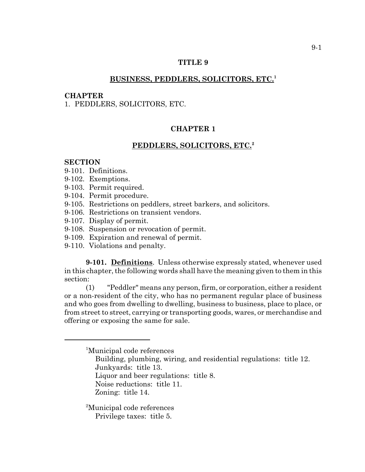# **TITLE 9**

## **BUSINESS, PEDDLERS, SOLICITORS, ETC.<sup>1</sup>**

### **CHAPTER**

1. PEDDLERS, SOLICITORS, ETC.

# **CHAPTER 1**

## **PEDDLERS, SOLICITORS, ETC.2**

#### **SECTION**

- 9-101. Definitions.
- 9-102. Exemptions.
- 9-103. Permit required.
- 9-104. Permit procedure.
- 9-105. Restrictions on peddlers, street barkers, and solicitors.
- 9-106. Restrictions on transient vendors.
- 9-107. Display of permit.
- 9-108. Suspension or revocation of permit.
- 9-109. Expiration and renewal of permit.
- 9-110. Violations and penalty.

**9-101. Definitions**. Unless otherwise expressly stated, whenever used in this chapter, the following words shall have the meaning given to them in this section:

(1) "Peddler" means any person, firm, or corporation, either a resident or a non-resident of the city, who has no permanent regular place of business and who goes from dwelling to dwelling, business to business, place to place, or from street to street, carrying or transporting goods, wares, or merchandise and offering or exposing the same for sale.

- Building, plumbing, wiring, and residential regulations: title 12. Junkyards: title 13.
- Liquor and beer regulations: title 8.
- Noise reductions: title 11.
- Zoning: title 14.

2 Municipal code references Privilege taxes: title 5.

<sup>1</sup> Municipal code references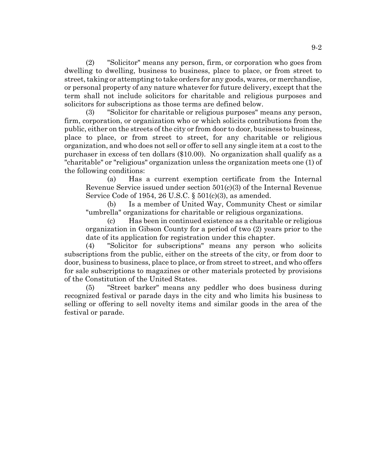(2) "Solicitor" means any person, firm, or corporation who goes from dwelling to dwelling, business to business, place to place, or from street to street, taking or attempting to take orders for any goods, wares, or merchandise, or personal property of any nature whatever for future delivery, except that the term shall not include solicitors for charitable and religious purposes and solicitors for subscriptions as those terms are defined below.

(3) "Solicitor for charitable or religious purposes" means any person, firm, corporation, or organization who or which solicits contributions from the public, either on the streets of the city or from door to door, business to business, place to place, or from street to street, for any charitable or religious organization, and who does not sell or offer to sell any single item at a cost to the purchaser in excess of ten dollars (\$10.00). No organization shall qualify as a "charitable" or "religious" organization unless the organization meets one (1) of the following conditions:

(a) Has a current exemption certificate from the Internal Revenue Service issued under section 501(c)(3) of the Internal Revenue Service Code of 1954, 26 U.S.C. § 501(c)(3), as amended.

(b) Is a member of United Way, Community Chest or similar "umbrella" organizations for charitable or religious organizations.

(c) Has been in continued existence as a charitable or religious organization in Gibson County for a period of two (2) years prior to the date of its application for registration under this chapter.

(4) "Solicitor for subscriptions" means any person who solicits subscriptions from the public, either on the streets of the city, or from door to door, business to business, place to place, or from street to street, and who offers for sale subscriptions to magazines or other materials protected by provisions of the Constitution of the United States.

(5) "Street barker" means any peddler who does business during recognized festival or parade days in the city and who limits his business to selling or offering to sell novelty items and similar goods in the area of the festival or parade.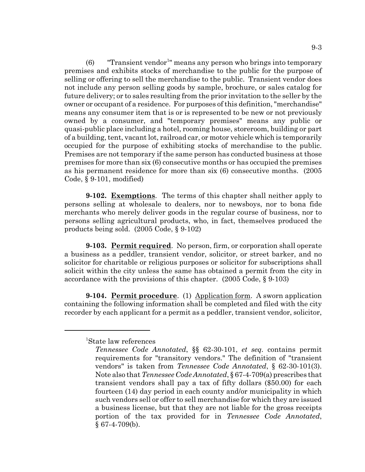$(6)$  "Transient vendor<sup>1</sup>" means any person who brings into temporary premises and exhibits stocks of merchandise to the public for the purpose of selling or offering to sell the merchandise to the public. Transient vendor does not include any person selling goods by sample, brochure, or sales catalog for future delivery; or to sales resulting from the prior invitation to the seller by the owner or occupant of a residence. For purposes of this definition, "merchandise" means any consumer item that is or is represented to be new or not previously owned by a consumer, and "temporary premises" means any public or quasi-public place including a hotel, rooming house, storeroom, building or part of a building, tent, vacant lot, railroad car, or motor vehicle which is temporarily occupied for the purpose of exhibiting stocks of merchandise to the public. Premises are not temporary if the same person has conducted business at those premises for more than six (6) consecutive months or has occupied the premises as his permanent residence for more than six (6) consecutive months. (2005 Code, § 9-101, modified)

**9-102. Exemptions**. The terms of this chapter shall neither apply to persons selling at wholesale to dealers, nor to newsboys, nor to bona fide merchants who merely deliver goods in the regular course of business, nor to persons selling agricultural products, who, in fact, themselves produced the products being sold. (2005 Code, § 9-102)

**9-103. Permit required**. No person, firm, or corporation shall operate a business as a peddler, transient vendor, solicitor, or street barker, and no solicitor for charitable or religious purposes or solicitor for subscriptions shall solicit within the city unless the same has obtained a permit from the city in accordance with the provisions of this chapter. (2005 Code, § 9-103)

**9-104. Permit procedure**. (1) Application form. A sworn application containing the following information shall be completed and filed with the city recorder by each applicant for a permit as a peddler, transient vendor, solicitor,

<sup>1</sup> State law references

*Tennessee Code Annotated*, §§ 62-30-101, *et seq.* contains permit requirements for "transitory vendors." The definition of "transient vendors" is taken from *Tennessee Code Annotated*, § 62-30-101(3). Note also that *Tennessee Code Annotated*, § 67-4-709(a) prescribes that transient vendors shall pay a tax of fifty dollars (\$50.00) for each fourteen (14) day period in each county and/or municipality in which such vendors sell or offer to sell merchandise for which they are issued a business license, but that they are not liable for the gross receipts portion of the tax provided for in *Tennessee Code Annotated*,  $§$  67-4-709(b).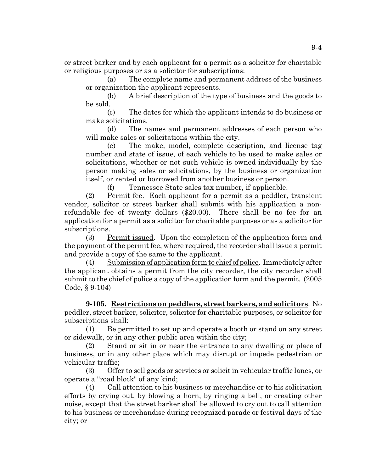or street barker and by each applicant for a permit as a solicitor for charitable or religious purposes or as a solicitor for subscriptions:

(a) The complete name and permanent address of the business or organization the applicant represents.

(b) A brief description of the type of business and the goods to be sold.

(c) The dates for which the applicant intends to do business or make solicitations.

(d) The names and permanent addresses of each person who will make sales or solicitations within the city.

(e) The make, model, complete description, and license tag number and state of issue, of each vehicle to be used to make sales or solicitations, whether or not such vehicle is owned individually by the person making sales or solicitations, by the business or organization itself, or rented or borrowed from another business or person.

(f) Tennessee State sales tax number, if applicable.

(2) Permit fee. Each applicant for a permit as a peddler, transient vendor, solicitor or street barker shall submit with his application a nonrefundable fee of twenty dollars (\$20.00). There shall be no fee for an application for a permit as a solicitor for charitable purposes or as a solicitor for subscriptions.

(3) Permit issued. Upon the completion of the application form and the payment of the permit fee, where required, the recorder shall issue a permit and provide a copy of the same to the applicant.

Submission of application form to chief of police. Immediately after the applicant obtains a permit from the city recorder, the city recorder shall submit to the chief of police a copy of the application form and the permit. (2005 Code, § 9-104)

**9-105. Restrictions on peddlers, street barkers, and solicitors**. No peddler, street barker, solicitor, solicitor for charitable purposes, or solicitor for subscriptions shall:

(1) Be permitted to set up and operate a booth or stand on any street or sidewalk, or in any other public area within the city;

(2) Stand or sit in or near the entrance to any dwelling or place of business, or in any other place which may disrupt or impede pedestrian or vehicular traffic;

(3) Offer to sell goods or services or solicit in vehicular traffic lanes, or operate a "road block" of any kind;

(4) Call attention to his business or merchandise or to his solicitation efforts by crying out, by blowing a horn, by ringing a bell, or creating other noise, except that the street barker shall be allowed to cry out to call attention to his business or merchandise during recognized parade or festival days of the city; or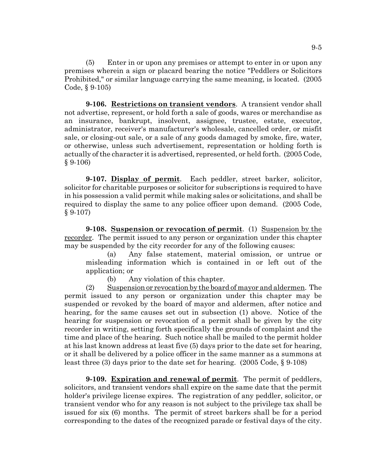(5) Enter in or upon any premises or attempt to enter in or upon any premises wherein a sign or placard bearing the notice "Peddlers or Solicitors Prohibited," or similar language carrying the same meaning, is located. (2005 Code, § 9-105)

**9-106. Restrictions on transient vendors**. A transient vendor shall not advertise, represent, or hold forth a sale of goods, wares or merchandise as an insurance, bankrupt, insolvent, assignee, trustee, estate, executor, administrator, receiver's manufacturer's wholesale, cancelled order, or misfit sale, or closing-out sale, or a sale of any goods damaged by smoke, fire, water, or otherwise, unless such advertisement, representation or holding forth is actually of the character it is advertised, represented, or held forth. (2005 Code, § 9-106)

**9-107. Display of permit**. Each peddler, street barker, solicitor, solicitor for charitable purposes or solicitor for subscriptions is required to have in his possession a valid permit while making sales or solicitations, and shall be required to display the same to any police officer upon demand. (2005 Code,  $§ 9-107)$ 

**9-108. Suspension or revocation of permit**. (1) Suspension by the recorder. The permit issued to any person or organization under this chapter may be suspended by the city recorder for any of the following causes:

(a) Any false statement, material omission, or untrue or misleading information which is contained in or left out of the application; or

(b) Any violation of this chapter.

(2) Suspension or revocation by the board of mayor and aldermen. The permit issued to any person or organization under this chapter may be suspended or revoked by the board of mayor and aldermen, after notice and hearing, for the same causes set out in subsection (1) above. Notice of the hearing for suspension or revocation of a permit shall be given by the city recorder in writing, setting forth specifically the grounds of complaint and the time and place of the hearing. Such notice shall be mailed to the permit holder at his last known address at least five (5) days prior to the date set for hearing, or it shall be delivered by a police officer in the same manner as a summons at least three (3) days prior to the date set for hearing. (2005 Code, § 9-108)

**9-109. Expiration and renewal of permit**. The permit of peddlers, solicitors, and transient vendors shall expire on the same date that the permit holder's privilege license expires. The registration of any peddler, solicitor, or transient vendor who for any reason is not subject to the privilege tax shall be issued for six (6) months. The permit of street barkers shall be for a period corresponding to the dates of the recognized parade or festival days of the city.